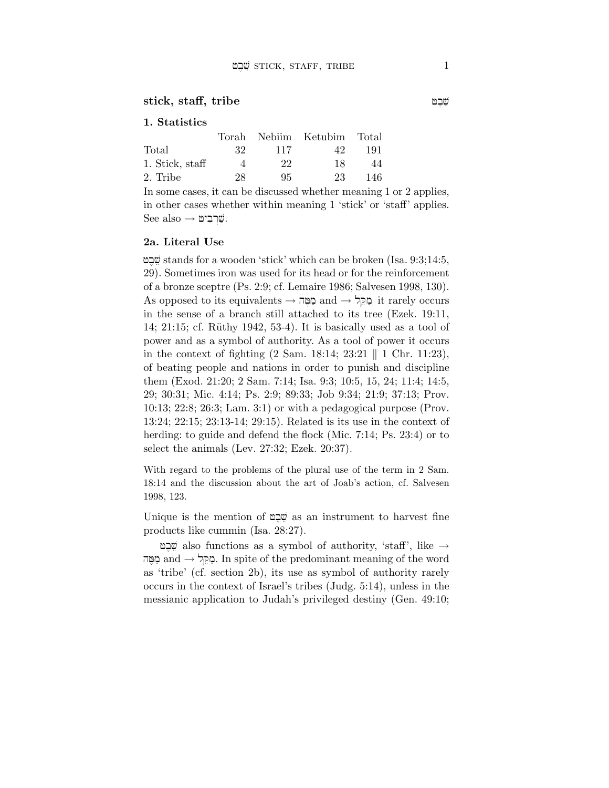#### $\text{stick, staff, triple}$

## 1. Statistics

|                 |     |     | Torah Nebiim Ketubim Total |     |
|-----------------|-----|-----|----------------------------|-----|
| Total           | -32 | 117 | 42                         | 191 |
| 1. Stick, staff | Δ   | 22  | 18                         | 44  |
| 2. Tribe        | 28  | 95. | 23                         | 146 |

In some cases, it can be discussed whether meaning 1 or 2 applies, in other cases whether within meaning 1 'stick' or 'staff' applies.  $See also \rightarrow \mathfrak{w}$ שְׁרִבְיט:

## 2a. Literal Use

שבט stands for a wooden 'stick' which can be broken (Isa.  $9:3;14:5,$ 29). Sometimes iron was used for its head or for the reinforcement of a bronze sceptre (Ps. 2:9; cf. Lemaire 1986; Salvesen 1998, 130).  $\mathrm{As}$  opposed to its equivalents  $\rightarrow$  and  $\rightarrow$  and  $\rightarrow$  it rarely occurs in the sense of a branch still attached to its tree (Ezek. 19:11, 14; 21:15; cf. Rüthy 1942, 53-4). It is basically used as a tool of power and as a symbol of authority. As a tool of power it occurs in the context of fighting  $(2 \text{ Sam. } 18:14; 23:21 \text{ } || \text{ } 1 \text{ Chr. } 11:23),$ of beating people and nations in order to punish and discipline them (Exod. 21:20; 2 Sam. 7:14; Isa. 9:3; 10:5, 15, 24; 11:4; 14:5, 29; 30:31; Mic. 4:14; Ps. 2:9; 89:33; Job 9:34; 21:9; 37:13; Prov. 10:13; 22:8; 26:3; Lam. 3:1) or with a pedagogical purpose (Prov. 13:24; 22:15; 23:13-14; 29:15). Related is its use in the context of herding: to guide and defend the flock (Mic. 7:14; Ps. 23:4) or to select the animals (Lev. 27:32; Ezek. 20:37).

With regard to the problems of the plural use of the term in 2 Sam. 18:14 and the discussion about the art of Joab's action, cf. Salvesen 1998, 123.

Unique is the mention of שָׁבָם as an instrument to harvest fine products like cummin (Isa. 28:27).

 $\ddot{\psi}$  also functions as a symbol of authority, 'staff', like  $\rightarrow$ המקל $\text{and} \rightarrow \text{Spin}$ . In spite of the predominant meaning of the word as 'tribe' (cf. section 2b), its use as symbol of authority rarely occurs in the context of Israel's tribes (Judg. 5:14), unless in the messianic application to Judah's privileged destiny (Gen. 49:10;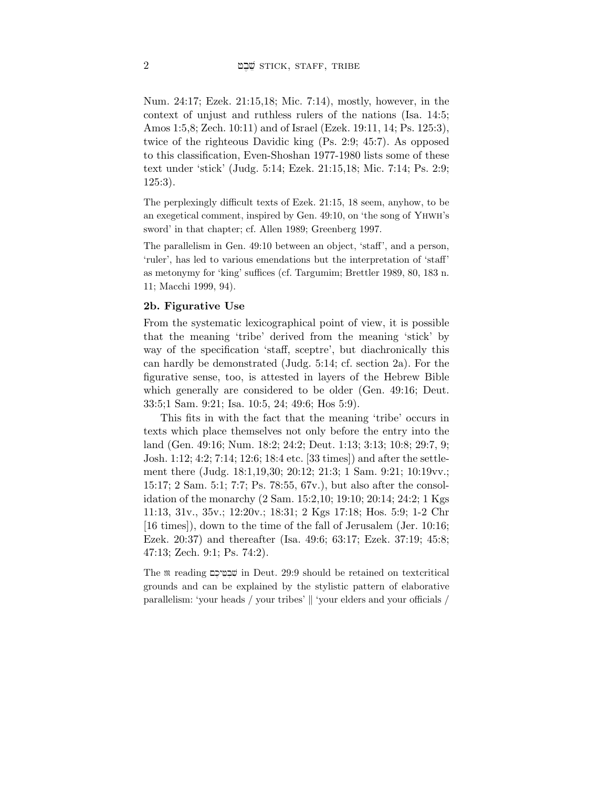Num. 24:17; Ezek. 21:15,18; Mic. 7:14), mostly, however, in the context of unjust and ruthless rulers of the nations (Isa. 14:5; Amos 1:5,8; Zech. 10:11) and of Israel (Ezek. 19:11, 14; Ps. 125:3), twice of the righteous Davidic king (Ps. 2:9; 45:7). As opposed to this classification, Even-Shoshan 1977-1980 lists some of these text under 'stick' (Judg. 5:14; Ezek. 21:15,18; Mic. 7:14; Ps. 2:9; 125:3).

The perplexingly difficult texts of Ezek. 21:15, 18 seem, anyhow, to be an exegetical comment, inspired by Gen. 49:10, on 'the song of Yhwh's sword' in that chapter; cf. Allen 1989; Greenberg 1997.

The parallelism in Gen. 49:10 between an object, 'staff', and a person, 'ruler', has led to various emendations but the interpretation of 'staff' as metonymy for 'king' suffices (cf. Targumim; Brettler 1989, 80, 183 n. 11; Macchi 1999, 94).

## 2b. Figurative Use

From the systematic lexicographical point of view, it is possible that the meaning 'tribe' derived from the meaning 'stick' by way of the specification 'staff, sceptre', but diachronically this can hardly be demonstrated (Judg. 5:14; cf. section 2a). For the figurative sense, too, is attested in layers of the Hebrew Bible which generally are considered to be older (Gen. 49:16; Deut. 33:5;1 Sam. 9:21; Isa. 10:5, 24; 49:6; Hos 5:9).

This fits in with the fact that the meaning 'tribe' occurs in texts which place themselves not only before the entry into the land (Gen. 49:16; Num. 18:2; 24:2; Deut. 1:13; 3:13; 10:8; 29:7, 9; Josh. 1:12; 4:2; 7:14; 12:6; 18:4 etc. [33 times]) and after the settlement there (Judg. 18:1,19,30; 20:12; 21:3; 1 Sam. 9:21; 10:19vv.; 15:17; 2 Sam. 5:1; 7:7; Ps. 78:55, 67v.), but also after the consolidation of the monarchy (2 Sam. 15:2,10; 19:10; 20:14; 24:2; 1 Kgs 11:13, 31v., 35v.; 12:20v.; 18:31; 2 Kgs 17:18; Hos. 5:9; 1-2 Chr [16 times]), down to the time of the fall of Jerusalem (Jer. 10:16; Ezek. 20:37) and thereafter (Isa. 49:6; 63:17; Ezek. 37:19; 45:8; 47:13; Zech. 9:1; Ps. 74:2).

The  $\mathfrak m$  reading שְׁבְמֵיכֵם in Deut. 29:9 should be retained on textcritical grounds and can be explained by the stylistic pattern of elaborative parallelism: 'your heads / your tribes'  $\parallel$  'your elders and your officials /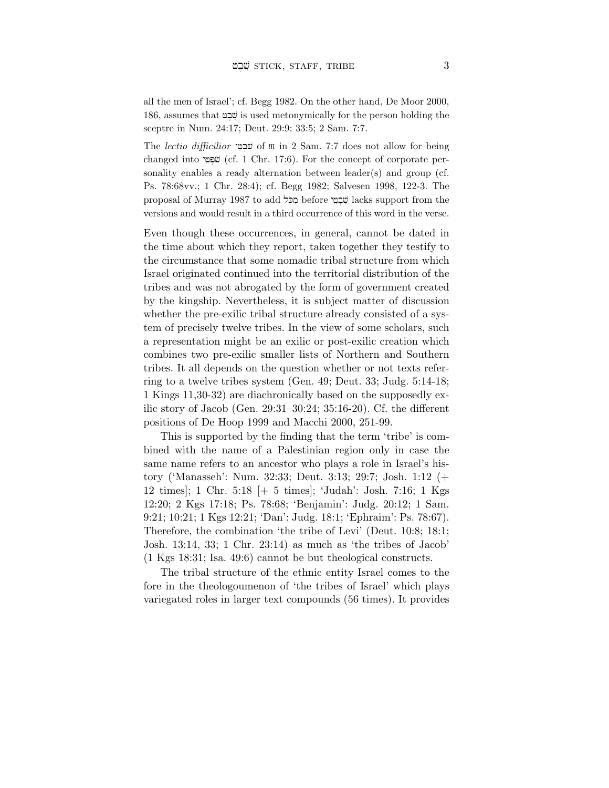all the men of Israel'; cf. Begg 1982. On the other hand, De Moor 2000, 186, assumes that in used metonymically for the person holding the sceptre in Num. 24:17; Deut. 29:9; 33:5; 2 Sam. 7:7.

The lectio difficilior שִׁבְמֵי of  $\mathfrak m$  in 2 Sam. 7:7 does not allow for being changed into שִׁפְּטֵי (cf. 1 Chr. 17:6). For the concept of corporate personality enables a ready alternation between leader(s) and group (cf. Ps. 78:68vv.; 1 Chr. 28:4); cf. Begg 1982; Salvesen 1998, 122-3. The proposal of Murray 1987 to add מְכֹּל before שְׁבָטֵי lacks support from the versions and would result in a third occurrence of this word in the verse.

Even though these occurrences, in general, cannot be dated in the time about which they report, taken together they testify to the circumstance that some nomadic tribal structure from which Israel originated continued into the territorial distribution of the tribes and was not abrogated by the form of government created by the kingship. Nevertheless, it is subject matter of discussion whether the pre-exilic tribal structure already consisted of a system of precisely twelve tribes. In the view of some scholars, such a representation might be an exilic or post-exilic creation which combines two pre-exilic smaller lists of Northern and Southern tribes. It all depends on the question whether or not texts referring to a twelve tribes system (Gen. 49; Deut. 33; Judg. 5:14-18; 1 Kings 11,30-32) are diachronically based on the supposedly exilic story of Jacob (Gen. 29:31–30:24; 35:16-20). Cf. the different positions of De Hoop 1999 and Macchi 2000, 251-99.

This is supported by the finding that the term 'tribe' is combined with the name of a Palestinian region only in case the same name refers to an ancestor who plays a role in Israel's history ('Manasseh': Num. 32:33; Deut. 3:13; 29:7; Josh. 1:12 (+ 12 times]; 1 Chr. 5:18 [+ 5 times]; 'Judah': Josh. 7:16; 1 Kgs 12:20; 2 Kgs 17:18; Ps. 78:68; 'Benjamin': Judg. 20:12; 1 Sam. 9:21; 10:21; 1 Kgs 12:21; 'Dan': Judg. 18:1; 'Ephraim': Ps. 78:67). Therefore, the combination 'the tribe of Levi' (Deut. 10:8; 18:1; Josh. 13:14, 33; 1 Chr. 23:14) as much as 'the tribes of Jacob' (1 Kgs 18:31; Isa. 49:6) cannot be but theological constructs.

The tribal structure of the ethnic entity Israel comes to the fore in the theologoumenon of 'the tribes of Israel' which plays variegated roles in larger text compounds (56 times). It provides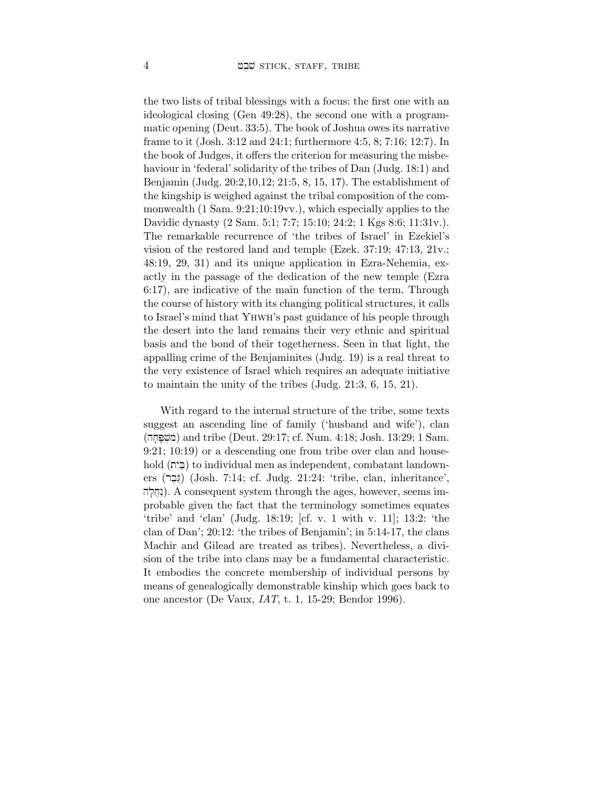the two lists of tribal blessings with a focus: the first one with an ideological closing (Gen 49:28), the second one with a programmatic opening (Deut. 33:5). The book of Joshua owes its narrative frame to it (Josh. 3:12 and 24:1; furthermore 4:5, 8; 7:16; 12:7). In the book of Judges, it offers the criterion for measuring the misbehaviour in 'federal' solidarity of the tribes of Dan (Judg. 18:1) and Benjamin (Judg. 20:2,10,12; 21:5, 8, 15, 17). The establishment of the kingship is weighed against the tribal composition of the commonwealth (1 Sam. 9:21;10:19vv.), which especially applies to the Davidic dynasty (2 Sam. 5:1; 7:7; 15:10; 24:2; 1 Kgs 8:6; 11:31v.). The remarkable recurrence of 'the tribes of Israel' in Ezekiel's vision of the restored land and temple (Ezek. 37:19; 47:13, 21v.; 48:19, 29, 31) and its unique application in Ezra-Nehemia, exactly in the passage of the dedication of the new temple (Ezra 6:17), are indicative of the main function of the term. Through the course of history with its changing political structures, it calls to Israel's mind that Yhwh's past guidance of his people through the desert into the land remains their very ethnic and spiritual basis and the bond of their togetherness. Seen in that light, the appalling crime of the Benjaminites (Judg. 19) is a real threat to the very existence of Israel which requires an adequate initiative to maintain the unity of the tribes (Judg. 21:3, 6, 15, 21).

With regard to the internal structure of the tribe, some texts suggest an ascending line of family ('husband and wife'), clan (hj;P;v]mi) and tribe (Deut. 29:17; cf. Num. 4:18; Josh. 13:29; 1 Sam. 9:21; 10:19) or a descending one from tribe over clan and household (בֵיה) to individual men as independent, combatant landowners (נְבֶר) (Josh. 7:14; cf. Judg. 21:24: 'tribe, clan, inheritance', וְחֲלָה). A consequent system through the ages, however, seems improbable given the fact that the terminology sometimes equates 'tribe' and 'clan' (Judg. 18:19; [cf. v. 1 with v. 11]; 13:2: 'the clan of Dan'; 20:12: 'the tribes of Benjamin'; in 5:14-17, the clans Machir and Gilead are treated as tribes). Nevertheless, a division of the tribe into clans may be a fundamental characteristic. It embodies the concrete membership of individual persons by means of genealogically demonstrable kinship which goes back to one ancestor (De Vaux, IAT, t. 1, 15-29; Bendor 1996).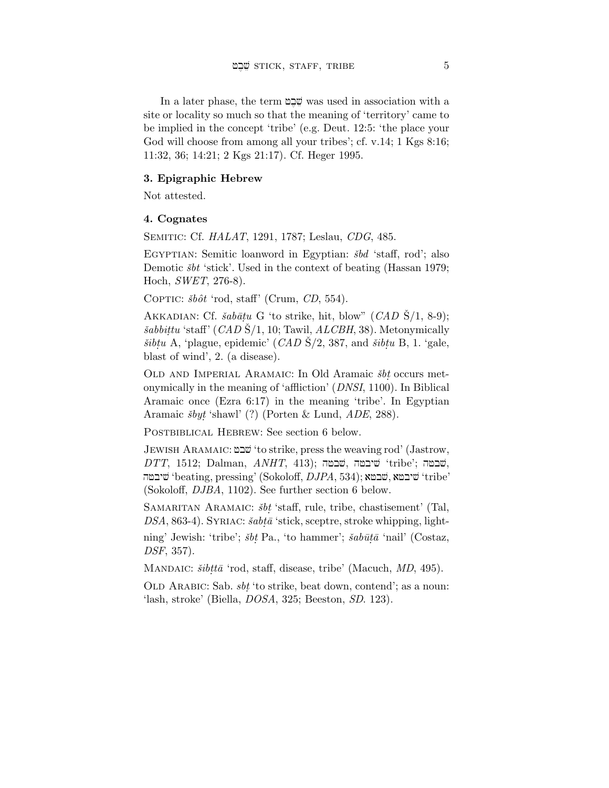In a later phase, the term  $\mathfrak{D}\mathfrak{D}$  was used in association with a site or locality so much so that the meaning of 'territory' came to be implied in the concept 'tribe' (e.g. Deut. 12:5: 'the place your God will choose from among all your tribes'; cf. v.14; 1 Kgs 8:16; 11:32, 36; 14:21; 2 Kgs 21:17). Cf. Heger 1995.

### 3. Epigraphic Hebrew

Not attested.

### 4. Cognates

Semitic: Cf. HALAT, 1291, 1787; Leslau, CDG, 485.

EGYPTIAN: Semitic loanword in Egyptian:  $\delta bd$  'staff, rod'; also Demotic  $\check{s}bt$  'stick'. Used in the context of beating (Hassan 1979; Hoch, SWET, 276-8).

COPTIC:  $\delta b \delta t$  'rod, staff' (Crum, CD, 554).

AKKADIAN: Cf.  $\check{s}ab\bar{a}tu$  G 'to strike, hit, blow" (CAD  $\check{S}/1$ , 8-9);  $\check sabbittu$  'staff' (CAD  $\check S/1$ , 10; Tawil, ALCBH, 38). Metonymically  $\check{s}ibtu$  A, 'plague, epidemic' (*CAD* S/2, 387, and  $\check{s}ibtu$  B, 1. 'gale, blast of wind', 2. (a disease).

OLD AND IMPERIAL ARAMAIC: In Old Aramaic  $\check{s}bt$  occurs metonymically in the meaning of 'affliction' (DNSI, 1100). In Biblical Aramaic once (Ezra 6:17) in the meaning 'tribe'. In Egyptian Aramaic  $\delta by \dot{t}$  'shawl' (?) (Porten & Lund,  $ADE$ , 288).

POSTBIBLICAL HEBREW: See section 6 below.

Jewish Aramaic: fbv 'to strike, press the weaving rod' (Jastrow,  $DTT$ , 1512; Dalman,  $ANHT$ , 413); שבטה, שיבטה 'tribe'; שבטה, שיבטה 'beating, pressing' (Sokoloff,  $DJPA$ , 534); שיבטה 'tribe' (Sokoloff, DJBA, 1102). See further section 6 below.

SAMARITAN ARAMAIC:  $\delta bt$  'staff, rule, tribe, chastisement' (Tal,  $DSA$ , 863-4). SYRIAC:  $\check{s}ab\bar{t}\bar{a}$  'stick, sceptre, stroke whipping, light-

ning' Jewish: 'tribe';  $\check{s}bt$  Pa., 'to hammer';  $\check{s}ab\bar{u}t\bar{a}$  'nail' (Costaz, DSF, 357).

MANDAIC:  $\check{s}ibtt\bar{a}$  'rod, staff, disease, tribe' (Macuch, MD, 495).

OLD ARABIC: Sab.  $sbt$  'to strike, beat down, contend'; as a noun: 'lash, stroke' (Biella, DOSA, 325; Beeston, SD. 123).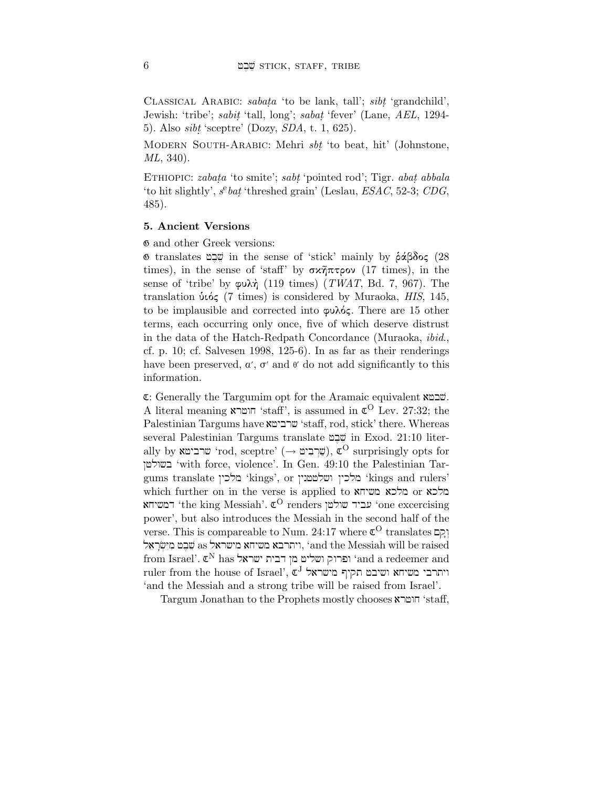CLASSICAL ARABIC: sabata 'to be lank, tall'; sibt. 'grandchild', Jewish: 'tribe'; *sabit* 'tall, long'; *sabat* 'fever' (Lane, *AEL*, 1294-5). Also  $sibt$  'sceptre' (Dozy,  $SDA$ , t. 1, 625).

MODERN SOUTH-ARABIC: Mehri sbt 'to beat, hit' (Johnstone, ML, 340).

ETHIOPIC: *zabata* 'to smite'; *sabt* 'pointed rod'; Tigr. *abat. abbala* 'to hit slightly',  $s^e$ *bat* 'threshed grain' (Leslau, *ESAC*, 52-3; *CDG*, 485).

# 5. Ancient Versions

 $\Phi$  and other Greek versions:

י שֶׁבֵּט in the sense of 'stick' mainly by  $\delta \alpha \beta \delta o \varsigma$  (28 times), in the sense of 'staff' by  $\sigma \times \tilde{\eta} \pi \tau \circ \sigma$  (17 times), in the sense of 'tribe' by  $\varphi \nu \lambda \dot{\eta}$  (119 times) (TWAT, Bd. 7, 967). The translation  $\dot{\nu}\dot{\omega}\zeta$  (7 times) is considered by Muraoka, HIS, 145, to be implausible and corrected into  $\varphi\omega\lambda\phi\zeta$ . There are 15 other terms, each occurring only once, five of which deserve distrust in the data of the Hatch-Redpath Concordance (Muraoka, ibid., cf. p. 10; cf. Salvesen 1998, 125-6). In as far as their renderings have been preserved,  $\alpha'$ ,  $\sigma'$  and  $\theta'$  do not add significantly to this information.

 $E:$  Generally the Targumim opt for the Aramaic equivalent  $x \in E$ . A literal meaning  $\tilde{\mathbf{x}}$ חושרא 'staff', is assumed in  $\mathfrak{C}^{\bullet}$  Lev. 27:32; the Palestinian Targums have שרבישא 'staff, rod, stick' there. Whereas several Palestinian Targums translate שֵׁבֵט in Exod. 21:10 literally by שרביטא 'rod, sceptre' (→ שְׁרָבִיט),  $\mathfrak{C}^{\rm O}$  surprisingly opts for ˆflwçb 'with force, violence'. In Gen. 49:10 the Palestinian Targums translate מלכין 'kings', or `` מלכין 'kings and rulers' which further on in the verse is applied to angles aktion at  $\sim$  are aking at  $\sim$ יביד שולטן 'the king Messiah'. עביד שולטן 'one excercising power', but also introduces the Messiah in the second half of the  $\overline{\mathbf{v}}$ erse. This is compareable to Num. 24:17 where  $\mathfrak{C}^{\mathbb{O}}$  translates וְקָם ויתרבא משיחא מישראל as שֶׁבָט מַיִשְׂרָאֶל, 'and the Messiah will be raised  ${\rm from~Israel'}.$   ${\mathfrak C}^{\rm N}$  has ופרוק ושליט מן דבית ישראל  ${\rm and~a~redeemer~and}$ ruler from the house of Israel',  $\mathfrak{c}^{\mathrm{J}}$  מישראל הקיף מישראל 'and the Messiah and a strong tribe will be raised from Israel'.

Targum Jonathan to the Prophets mostly chooses חוטרא 'staff,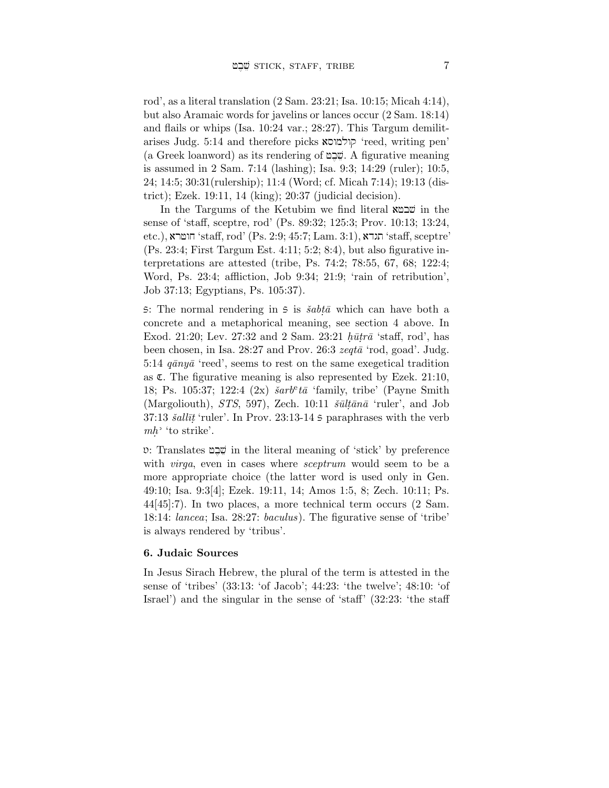rod', as a literal translation (2 Sam. 23:21; Isa. 10:15; Micah 4:14), but also Aramaic words for javelins or lances occur (2 Sam. 18:14) and flails or whips (Isa. 10:24 var.; 28:27). This Targum demilitarises Judg. 5:14 and therefore picks קולמוסא 'reed, writing pen'  $(a \text{ Greek loanword})$  as its rendering of שֶּׁבֵּט. A figurative meaning is assumed in 2 Sam. 7:14 (lashing); Isa. 9:3; 14:29 (ruler); 10:5, 24; 14:5; 30:31(rulership); 11:4 (Word; cf. Micah 7:14); 19:13 (district); Ezek. 19:11, 14 (king); 20:37 (judicial decision).

In the Targums of the Ketubim we find literal  $x \in \mathbb{Z}$  in the sense of 'staff, sceptre, rod' (Ps. 89:32; 125:3; Prov. 10:13; 13:24,  $\text{etc.}$ ), הוטרא 'staff,  $\text{rod}'$  (Ps. 2:9; 45:7; Lam. 3:1),  $\text{x}$ יהו $\text{``stat}, \text{septre''}$ (Ps. 23:4; First Targum Est. 4:11; 5:2; 8:4), but also figurative interpretations are attested (tribe, Ps. 74:2; 78:55, 67, 68; 122:4; Word, Ps. 23:4; affliction, Job 9:34; 21:9; 'rain of retribution', Job 37:13; Egyptians, Ps. 105:37).

5: The normal rendering in 5 is  $\check{s}abt\bar{\alpha}$  which can have both a concrete and a metaphorical meaning, see section 4 above. In Exod. 21:20; Lev. 27:32 and 2 Sam. 23:21  $h\bar{u}tr\bar{a}$  'staff, rod', has been chosen, in Isa.  $28:27$  and Prov.  $26:3$  zeqt $\bar{a}$  'rod, goad'. Judg. 5:14  $q\bar{a}ny\bar{a}$  'reed', seems to rest on the same exegetical tradition as  $\mathfrak{C}$ . The figurative meaning is also represented by Ezek. 21:10, 18; Ps. 105:37; 122:4  $(2x)$   $\check{s}arb^et\bar{a}$  'family, tribe' (Payne Smith (Margoliouth),  $STS$ , 597), Zech. 10:11  $\delta \bar{u} \bar{l} \bar{\alpha}$  'ruler', and Job  $37:13$  *šallīt* 'ruler'. In Prov.  $23:13-14$  *S* paraphrases with the verb  $mh$ <sup>2</sup> 'to strike'.

◊: Translates fb,ve in the literal meaning of 'stick' by preference with *virga*, even in cases where *sceptrum* would seem to be a more appropriate choice (the latter word is used only in Gen. 49:10; Isa. 9:3[4]; Ezek. 19:11, 14; Amos 1:5, 8; Zech. 10:11; Ps. 44[45]:7). In two places, a more technical term occurs (2 Sam. 18:14: lancea; Isa. 28:27: baculus). The figurative sense of 'tribe' is always rendered by 'tribus'.

## 6. Judaic Sources

In Jesus Sirach Hebrew, the plural of the term is attested in the sense of 'tribes' (33:13: 'of Jacob'; 44:23: 'the twelve'; 48:10: 'of Israel') and the singular in the sense of 'staff' (32:23: 'the staff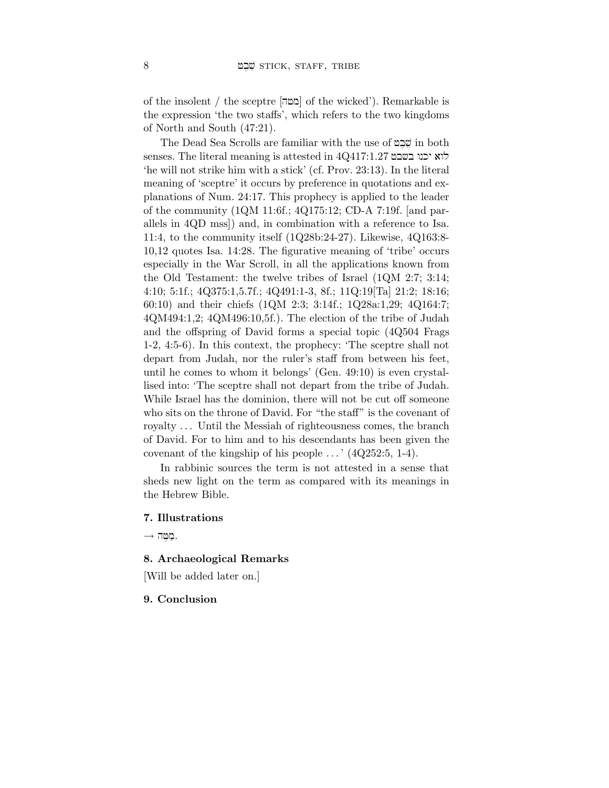of the insolent / the sceptre [hfm] of the wicked'). Remarkable is the expression 'the two staffs', which refers to the two kingdoms of North and South (47:21).

The Dead Sea Scrolls are familiar with the use of *ה*שְׁבָט in both  $s$ enses. The literal meaning is attested in 4Q417:1.27 לוא יכנו בשבט 'he will not strike him with a stick' (cf. Prov. 23:13). In the literal meaning of 'sceptre' it occurs by preference in quotations and explanations of Num. 24:17. This prophecy is applied to the leader of the community (1QM 11:6f.; 4Q175:12; CD-A 7:19f. [and parallels in 4QD mss]) and, in combination with a reference to Isa. 11:4, to the community itself (1Q28b:24-27). Likewise, 4Q163:8- 10,12 quotes Isa. 14:28. The figurative meaning of 'tribe' occurs especially in the War Scroll, in all the applications known from the Old Testament: the twelve tribes of Israel (1QM 2:7; 3:14; 4:10; 5:1f.; 4Q375:1,5.7f.; 4Q491:1-3, 8f.; 11Q:19[Ta] 21:2; 18:16; 60:10) and their chiefs (1QM 2:3; 3:14f.; 1Q28a:1,29; 4Q164:7; 4QM494:1,2; 4QM496:10,5f.). The election of the tribe of Judah and the offspring of David forms a special topic (4Q504 Frags 1-2, 4:5-6). In this context, the prophecy: 'The sceptre shall not depart from Judah, nor the ruler's staff from between his feet, until he comes to whom it belongs' (Gen. 49:10) is even crystallised into: 'The sceptre shall not depart from the tribe of Judah. While Israel has the dominion, there will not be cut off someone who sits on the throne of David. For "the staff" is the covenant of royalty ... Until the Messiah of righteousness comes, the branch of David. For to him and to his descendants has been given the covenant of the kingship of his people  $\ldots$  ' (4Q252:5, 1-4).

In rabbinic sources the term is not attested in a sense that sheds new light on the term as compared with its meanings in the Hebrew Bible.

## 7. Illustrations

 $\rightarrow$  חַמֲה

# 8. Archaeological Remarks

[Will be added later on.]

### 9. Conclusion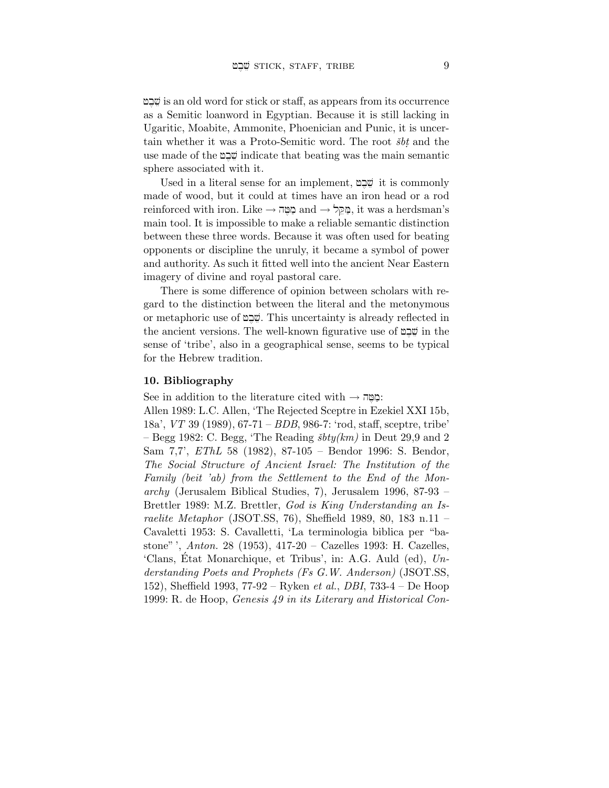fb,veis an old word for stick or staff, as appears from its occurrence as a Semitic loanword in Egyptian. Because it is still lacking in Ugaritic, Moabite, Ammonite, Phoenician and Punic, it is uncertain whether it was a Proto-Semitic word. The root  $\check{s}bt$  and the use made of the  $\mathfrak{g}$ ה indicate that beating was the main semantic sphere associated with it.

Used in a literal sense for an implement, שָּׁבָט it is commonly made of wood, but it could at times have an iron head or a rod reinforced with iron. Like  $\rightarrow$  מַקֵּל and  $\rightarrow$  מֻקֵּל, it was a herdsman's main tool. It is impossible to make a reliable semantic distinction between these three words. Because it was often used for beating opponents or discipline the unruly, it became a symbol of power and authority. As such it fitted well into the ancient Near Eastern imagery of divine and royal pastoral care.

There is some difference of opinion between scholars with regard to the distinction between the literal and the metonymous or metaphoric use of  $\mathfrak{D}\mathfrak{D}$ . This uncertainty is already reflected in the ancient versions. The well-known figurative use of  $\mathfrak{p}$ ה the sense of 'tribe', also in a geographical sense, seems to be typical for the Hebrew tradition.

### 10. Bibliography

See in addition to the literature cited with  $\rightarrow$  הַמֵּה.

Allen 1989: L.C. Allen, 'The Rejected Sceptre in Ezekiel XXI 15b, 18a', VT 39 (1989), 67-71 – BDB, 986-7: 'rod, staff, sceptre, tribe' – Begg 1982: C. Begg, 'The Reading  $\delta b t y (km)$  in Deut 29,9 and 2 Sam 7,7', EThL 58 (1982), 87-105 – Bendor 1996: S. Bendor, The Social Structure of Ancient Israel: The Institution of the Family (beit 'ab) from the Settlement to the End of the Monarchy (Jerusalem Biblical Studies, 7), Jerusalem 1996, 87-93 – Brettler 1989: M.Z. Brettler, God is King Understanding an Israelite Metaphor (JSOT.SS, 76), Sheffield 1989, 80, 183 n.11 – Cavaletti 1953: S. Cavalletti, 'La terminologia biblica per "bastone" ', Anton. 28 (1953), 417-20 – Cazelles 1993: H. Cazelles, 'Clans, Etat Monarchique, et Tribus', in: A.G. Auld  $(ed)$ ,  $Un$ derstanding Poets and Prophets (Fs G.W. Anderson) (JSOT.SS, 152), Sheffield 1993, 77-92 – Ryken *et al., DBI*, 733-4 – De Hoop 1999: R. de Hoop, Genesis 49 in its Literary and Historical Con-